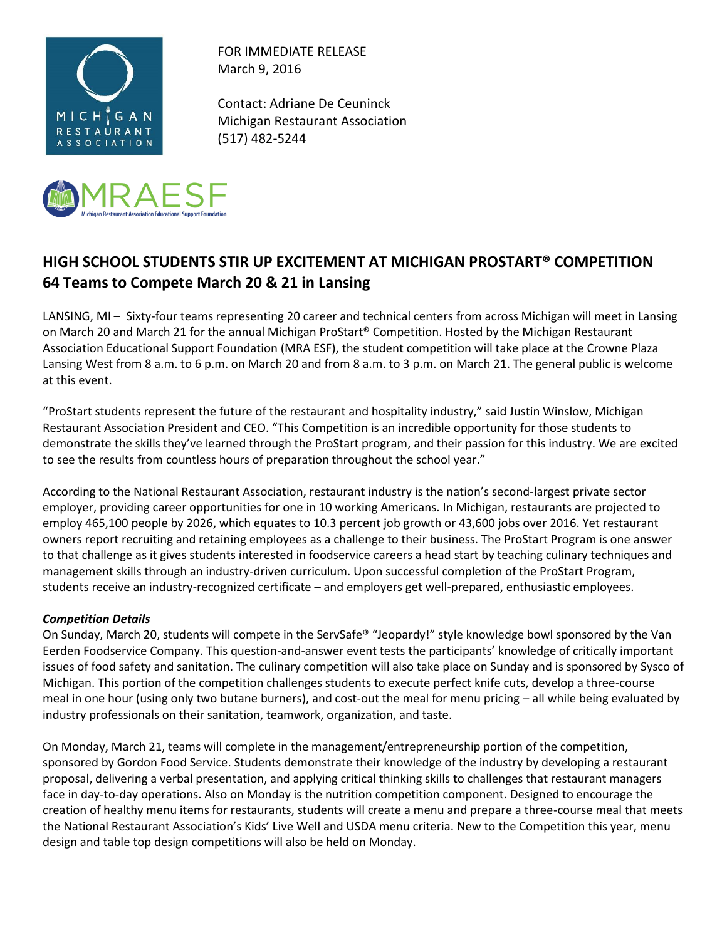



FOR IMMEDIATE RELEASE March 9, 2016

Contact: Adriane De Ceuninck Michigan Restaurant Association (517) 482-5244

## **HIGH SCHOOL STUDENTS STIR UP EXCITEMENT AT MICHIGAN PROSTART® COMPETITION 64 Teams to Compete March 20 & 21 in Lansing**

LANSING, MI – Sixty-four teams representing 20 career and technical centers from across Michigan will meet in Lansing on March 20 and March 21 for the annual Michigan ProStart® Competition. Hosted by the Michigan Restaurant Association Educational Support Foundation (MRA ESF), the student competition will take place at the Crowne Plaza Lansing West from 8 a.m. to 6 p.m. on March 20 and from 8 a.m. to 3 p.m. on March 21. The general public is welcome at this event.

"ProStart students represent the future of the restaurant and hospitality industry," said Justin Winslow, Michigan Restaurant Association President and CEO. "This Competition is an incredible opportunity for those students to demonstrate the skills they've learned through the ProStart program, and their passion for this industry. We are excited to see the results from countless hours of preparation throughout the school year."

According to the National Restaurant Association, restaurant industry is the nation's second-largest private sector employer, providing career opportunities for one in 10 working Americans. In Michigan, restaurants are projected to employ 465,100 people by 2026, which equates to 10.3 percent job growth or 43,600 jobs over 2016. Yet restaurant owners report recruiting and retaining employees as a challenge to their business. The ProStart Program is one answer to that challenge as it gives students interested in foodservice careers a head start by teaching culinary techniques and management skills through an industry-driven curriculum. Upon successful completion of the ProStart Program, students receive an industry-recognized certificate – and employers get well-prepared, enthusiastic employees.

## *Competition Details*

On Sunday, March 20, students will compete in the ServSafe® "Jeopardy!" style knowledge bowl sponsored by the Van Eerden Foodservice Company. This question-and-answer event tests the participants' knowledge of critically important issues of food safety and sanitation. The culinary competition will also take place on Sunday and is sponsored by Sysco of Michigan. This portion of the competition challenges students to execute perfect knife cuts, develop a three-course meal in one hour (using only two butane burners), and cost-out the meal for menu pricing – all while being evaluated by industry professionals on their sanitation, teamwork, organization, and taste.

On Monday, March 21, teams will complete in the management/entrepreneurship portion of the competition, sponsored by Gordon Food Service. Students demonstrate their knowledge of the industry by developing a restaurant proposal, delivering a verbal presentation, and applying critical thinking skills to challenges that restaurant managers face in day-to-day operations. Also on Monday is the nutrition competition component. Designed to encourage the creation of healthy menu items for restaurants, students will create a menu and prepare a three-course meal that meets the National Restaurant Association's Kids' Live Well and USDA menu criteria. New to the Competition this year, menu design and table top design competitions will also be held on Monday.